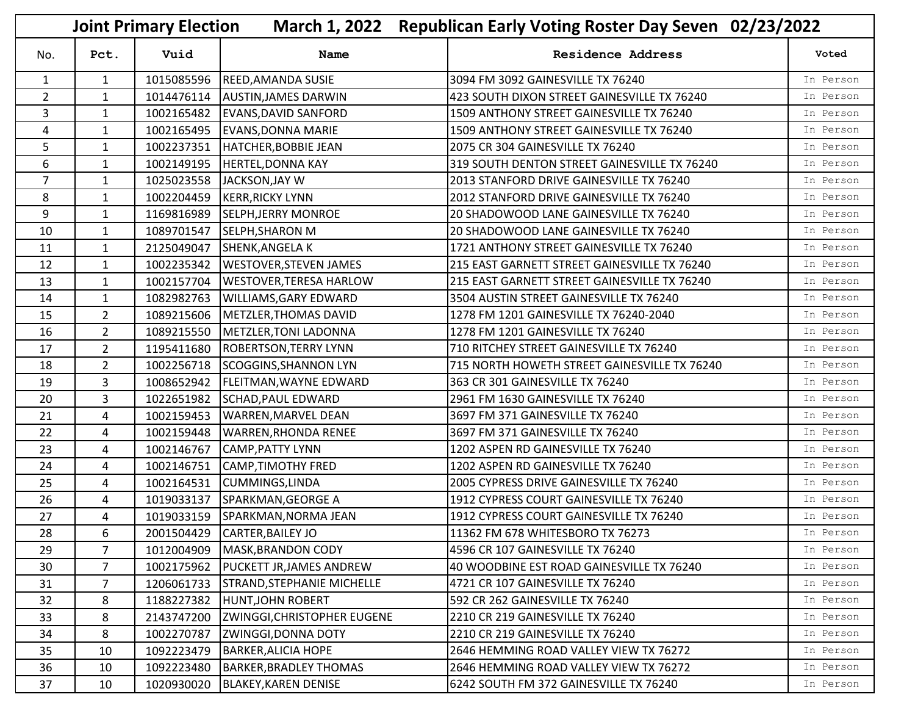|                |                | <b>Joint Primary Election</b> |                                    | March 1, 2022 Republican Early Voting Roster Day Seven 02/23/2022 |           |  |  |
|----------------|----------------|-------------------------------|------------------------------------|-------------------------------------------------------------------|-----------|--|--|
| No.            | Pct.           | Vuid                          | Name                               | <b>Residence Address</b>                                          | Voted     |  |  |
| $\mathbf{1}$   | $\mathbf{1}$   | 1015085596                    | <b>REED, AMANDA SUSIE</b>          | 3094 FM 3092 GAINESVILLE TX 76240                                 | In Person |  |  |
| $\overline{2}$ | $\mathbf{1}$   | 1014476114                    | <b>AUSTIN, JAMES DARWIN</b>        | 423 SOUTH DIXON STREET GAINESVILLE TX 76240                       | In Person |  |  |
| 3              | $\mathbf{1}$   | 1002165482                    | <b>EVANS, DAVID SANFORD</b>        | 1509 ANTHONY STREET GAINESVILLE TX 76240                          | In Person |  |  |
| 4              | $\mathbf{1}$   | 1002165495                    | <b>EVANS, DONNA MARIE</b>          | 1509 ANTHONY STREET GAINESVILLE TX 76240                          | In Person |  |  |
| 5              | 1              | 1002237351                    | HATCHER, BOBBIE JEAN               | 2075 CR 304 GAINESVILLE TX 76240                                  | In Person |  |  |
| 6              | $\mathbf{1}$   | 1002149195                    | <b>HERTEL, DONNA KAY</b>           | 319 SOUTH DENTON STREET GAINESVILLE TX 76240                      | In Person |  |  |
| $\overline{7}$ | $\mathbf{1}$   | 1025023558                    | JACKSON, JAY W                     | 2013 STANFORD DRIVE GAINESVILLE TX 76240                          | In Person |  |  |
| 8              | $\mathbf{1}$   | 1002204459                    | <b>KERR, RICKY LYNN</b>            | 2012 STANFORD DRIVE GAINESVILLE TX 76240                          | In Person |  |  |
| 9              | $\mathbf{1}$   | 1169816989                    | <b>SELPH, JERRY MONROE</b>         | 20 SHADOWOOD LANE GAINESVILLE TX 76240                            | In Person |  |  |
| 10             | $\mathbf{1}$   | 1089701547                    | <b>SELPH, SHARON M</b>             | 20 SHADOWOOD LANE GAINESVILLE TX 76240                            | In Person |  |  |
| 11             | 1              | 2125049047                    | <b>SHENK, ANGELA K</b>             | 1721 ANTHONY STREET GAINESVILLE TX 76240                          | In Person |  |  |
| 12             | $\mathbf{1}$   | 1002235342                    | <b>WESTOVER, STEVEN JAMES</b>      | 215 EAST GARNETT STREET GAINESVILLE TX 76240                      | In Person |  |  |
| 13             | $\mathbf{1}$   | 1002157704                    | <b>WESTOVER, TERESA HARLOW</b>     | 215 EAST GARNETT STREET GAINESVILLE TX 76240                      | In Person |  |  |
| 14             | $\mathbf{1}$   | 1082982763                    | <b>WILLIAMS, GARY EDWARD</b>       | 3504 AUSTIN STREET GAINESVILLE TX 76240                           | In Person |  |  |
| 15             | $\overline{2}$ | 1089215606                    | METZLER, THOMAS DAVID              | 1278 FM 1201 GAINESVILLE TX 76240-2040                            | In Person |  |  |
| 16             | $\overline{2}$ | 1089215550                    | METZLER, TONI LADONNA              | 1278 FM 1201 GAINESVILLE TX 76240                                 | In Person |  |  |
| 17             | $\overline{2}$ | 1195411680                    | <b>ROBERTSON, TERRY LYNN</b>       | 710 RITCHEY STREET GAINESVILLE TX 76240                           | In Person |  |  |
| 18             | $\overline{2}$ | 1002256718                    | SCOGGINS, SHANNON LYN              | 715 NORTH HOWETH STREET GAINESVILLE TX 76240                      | In Person |  |  |
| 19             | 3              | 1008652942                    | <b>FLEITMAN, WAYNE EDWARD</b>      | 363 CR 301 GAINESVILLE TX 76240                                   | In Person |  |  |
| 20             | 3              | 1022651982                    | <b>SCHAD, PAUL EDWARD</b>          | 2961 FM 1630 GAINESVILLE TX 76240                                 | In Person |  |  |
| 21             | 4              | 1002159453                    | <b>WARREN, MARVEL DEAN</b>         | 3697 FM 371 GAINESVILLE TX 76240                                  | In Person |  |  |
| 22             | 4              | 1002159448                    | <b>WARREN, RHONDA RENEE</b>        | 3697 FM 371 GAINESVILLE TX 76240                                  | In Person |  |  |
| 23             | 4              | 1002146767                    | <b>CAMP, PATTY LYNN</b>            | 1202 ASPEN RD GAINESVILLE TX 76240                                | In Person |  |  |
| 24             | 4              | 1002146751                    | <b>CAMP, TIMOTHY FRED</b>          | 1202 ASPEN RD GAINESVILLE TX 76240                                | In Person |  |  |
| 25             | 4              | 1002164531                    | <b>CUMMINGS, LINDA</b>             | 2005 CYPRESS DRIVE GAINESVILLE TX 76240                           | In Person |  |  |
| 26             | 4              | 1019033137                    | SPARKMAN, GEORGE A                 | 1912 CYPRESS COURT GAINESVILLE TX 76240                           | In Person |  |  |
| 27             | 4              |                               | 1019033159 SPARKMAN, NORMA JEAN    | 1912 CYPRESS COURT GAINESVILLE TX 76240                           | In Person |  |  |
| 28             | 6              |                               | 2001504429 CARTER, BAILEY JO       | 11362 FM 678 WHITESBORO TX 76273                                  | In Person |  |  |
| 29             | $7^{\circ}$    | 1012004909                    | MASK, BRANDON CODY                 | 4596 CR 107 GAINESVILLE TX 76240                                  | In Person |  |  |
| 30             | $\overline{7}$ | 1002175962                    | <b>PUCKETT JR, JAMES ANDREW</b>    | 40 WOODBINE EST ROAD GAINESVILLE TX 76240                         | In Person |  |  |
| 31             | $\overline{7}$ | 1206061733                    | <b>STRAND, STEPHANIE MICHELLE</b>  | 4721 CR 107 GAINESVILLE TX 76240                                  | In Person |  |  |
| 32             | 8              | 1188227382                    | HUNT, JOHN ROBERT                  | 592 CR 262 GAINESVILLE TX 76240                                   | In Person |  |  |
| 33             | 8              | 2143747200                    | <b>ZWINGGI, CHRISTOPHER EUGENE</b> | 2210 CR 219 GAINESVILLE TX 76240                                  | In Person |  |  |
| 34             | 8              | 1002270787                    | <b>ZWINGGI, DONNA DOTY</b>         | 2210 CR 219 GAINESVILLE TX 76240                                  | In Person |  |  |
| 35             | 10             | 1092223479                    | <b>BARKER, ALICIA HOPE</b>         | 2646 HEMMING ROAD VALLEY VIEW TX 76272                            | In Person |  |  |
| 36             | 10             | 1092223480                    | <b>BARKER, BRADLEY THOMAS</b>      | 2646 HEMMING ROAD VALLEY VIEW TX 76272                            | In Person |  |  |
| 37             | 10             | 1020930020                    | <b>BLAKEY, KAREN DENISE</b>        | 6242 SOUTH FM 372 GAINESVILLE TX 76240                            | In Person |  |  |